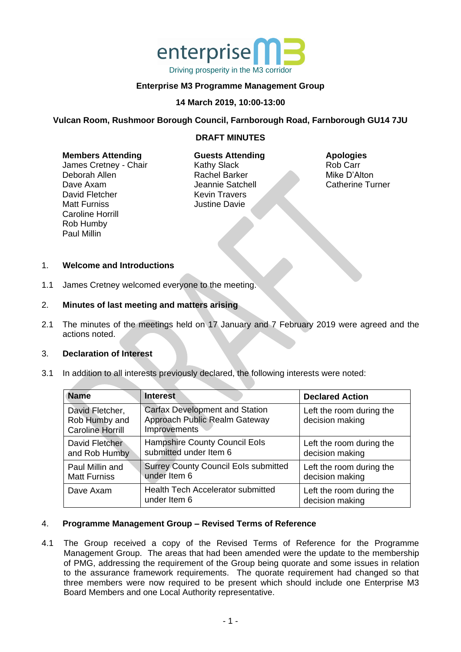

# **Enterprise M3 Programme Management Group**

## **14 March 2019, 10:00-13:00**

## **Vulcan Room, Rushmoor Borough Council, Farnborough Road, Farnborough GU14 7JU**

## **DRAFT MINUTES**

#### **Members Attending**

James Cretney - Chair Deborah Allen Dave Axam David Fletcher Matt Furniss Caroline Horrill Rob Humby Paul Millin

## **Guests Attending** Kathy Slack Rachel Barker Jeannie Satchell Kevin Travers Justine Davie

#### **Apologies** Rob Carr Mike D'Alton Catherine Turner

## 1. **Welcome and Introductions**

1.1 James Cretney welcomed everyone to the meeting.

## 2. **Minutes of last meeting and matters arising**

2.1 The minutes of the meetings held on 17 January and 7 February 2019 were agreed and the actions noted.

## 3. **Declaration of Interest**

3.1 In addition to all interests previously declared, the following interests were noted:

| <b>Name</b>                                                 | <b>Interest</b>                                                                        | <b>Declared Action</b>                      |
|-------------------------------------------------------------|----------------------------------------------------------------------------------------|---------------------------------------------|
| David Fletcher,<br>Rob Humby and<br><b>Caroline Horrill</b> | <b>Carfax Development and Station</b><br>Approach Public Realm Gateway<br>Improvements | Left the room during the<br>decision making |
| David Fletcher<br>and Rob Humby                             | <b>Hampshire County Council Eols</b><br>submitted under Item 6                         | Left the room during the<br>decision making |
| Paul Millin and<br><b>Matt Furniss</b>                      | <b>Surrey County Council Eols submitted</b><br>under Item 6                            | Left the room during the<br>decision making |
| Dave Axam                                                   | <b>Health Tech Accelerator submitted</b><br>under Item 6                               | Left the room during the<br>decision making |

#### 4. **Programme Management Group – Revised Terms of Reference**

4.1 The Group received a copy of the Revised Terms of Reference for the Programme Management Group. The areas that had been amended were the update to the membership of PMG, addressing the requirement of the Group being quorate and some issues in relation to the assurance framework requirements. The quorate requirement had changed so that three members were now required to be present which should include one Enterprise M3 Board Members and one Local Authority representative.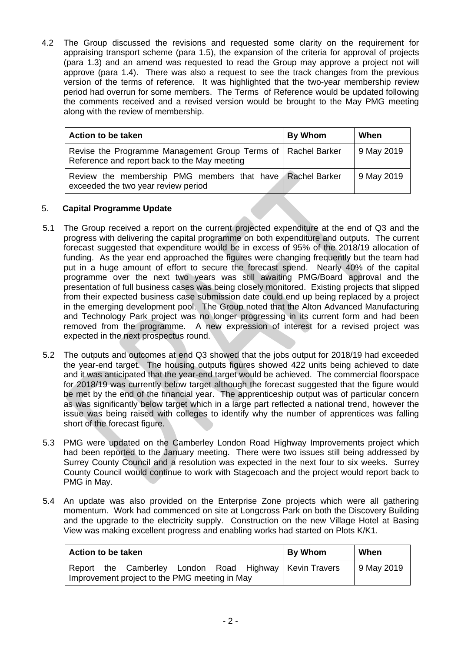4.2 The Group discussed the revisions and requested some clarity on the requirement for appraising transport scheme (para 1.5), the expansion of the criteria for approval of projects (para 1.3) and an amend was requested to read the Group may approve a project not will approve (para 1.4). There was also a request to see the track changes from the previous version of the terms of reference. It was highlighted that the two-year membership review period had overrun for some members. The Terms of Reference would be updated following the comments received and a revised version would be brought to the May PMG meeting along with the review of membership.

| <b>Action to be taken</b>                                                                                      | By Whom | When       |
|----------------------------------------------------------------------------------------------------------------|---------|------------|
| Revise the Programme Management Group Terms of   Rachel Barker<br>Reference and report back to the May meeting |         | 9 May 2019 |
| Review the membership PMG members that have Rachel Barker<br>exceeded the two year review period               |         | 9 May 2019 |

# 5. **Capital Programme Update**

- 5.1 The Group received a report on the current projected expenditure at the end of Q3 and the progress with delivering the capital programme on both expenditure and outputs. The current forecast suggested that expenditure would be in excess of 95% of the 2018/19 allocation of funding. As the year end approached the figures were changing frequently but the team had put in a huge amount of effort to secure the forecast spend. Nearly 40% of the capital programme over the next two years was still awaiting PMG/Board approval and the presentation of full business cases was being closely monitored. Existing projects that slipped from their expected business case submission date could end up being replaced by a project in the emerging development pool. The Group noted that the Alton Advanced Manufacturing and Technology Park project was no longer progressing in its current form and had been removed from the programme. A new expression of interest for a revised project was expected in the next prospectus round.
- 5.2 The outputs and outcomes at end Q3 showed that the jobs output for 2018/19 had exceeded the year-end target. The housing outputs figures showed 422 units being achieved to date and it was anticipated that the year-end target would be achieved. The commercial floorspace for 2018/19 was currently below target although the forecast suggested that the figure would be met by the end of the financial year. The apprenticeship output was of particular concern as was significantly below target which in a large part reflected a national trend, however the issue was being raised with colleges to identify why the number of apprentices was falling short of the forecast figure.
- 5.3 PMG were updated on the Camberley London Road Highway Improvements project which had been reported to the January meeting. There were two issues still being addressed by Surrey County Council and a resolution was expected in the next four to six weeks. Surrey County Council would continue to work with Stagecoach and the project would report back to PMG in May.
- 5.4 An update was also provided on the Enterprise Zone projects which were all gathering momentum. Work had commenced on site at Longcross Park on both the Discovery Building and the upgrade to the electricity supply. Construction on the new Village Hotel at Basing View was making excellent progress and enabling works had started on Plots K/K1.

| Action to be taken                            |  |  | <b>By Whom</b> | When |                                                       |            |
|-----------------------------------------------|--|--|----------------|------|-------------------------------------------------------|------------|
| Improvement project to the PMG meeting in May |  |  |                |      | Report the Camberley London Road Highway KevinTravers | 9 May 2019 |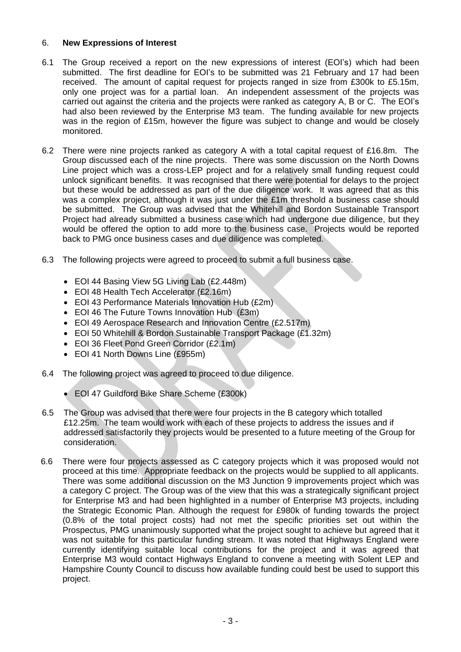# 6. **New Expressions of Interest**

- 6.1 The Group received a report on the new expressions of interest (EOI's) which had been submitted. The first deadline for EOI's to be submitted was 21 February and 17 had been received. The amount of capital request for projects ranged in size from £300k to £5.15m, only one project was for a partial loan. An independent assessment of the projects was carried out against the criteria and the projects were ranked as category A, B or C. The EOI's had also been reviewed by the Enterprise M3 team. The funding available for new projects was in the region of £15m, however the figure was subject to change and would be closely monitored.
- 6.2 There were nine projects ranked as category A with a total capital request of £16.8m. The Group discussed each of the nine projects. There was some discussion on the North Downs Line project which was a cross-LEP project and for a relatively small funding request could unlock significant benefits. It was recognised that there were potential for delays to the project but these would be addressed as part of the due diligence work. It was agreed that as this was a complex project, although it was just under the £1m threshold a business case should be submitted. The Group was advised that the Whitehill and Bordon Sustainable Transport Project had already submitted a business case which had undergone due diligence, but they would be offered the option to add more to the business case. Projects would be reported back to PMG once business cases and due diligence was completed.
- 6.3 The following projects were agreed to proceed to submit a full business case.
	- EOI 44 Basing View 5G Living Lab (£2.448m)
	- EOI 48 Health Tech Accelerator (£2.16m)
	- EOI 43 Performance Materials Innovation Hub (£2m)
	- EOI 46 The Future Towns Innovation Hub (£3m)
	- EOI 49 Aerospace Research and Innovation Centre (£2.517m)
	- EOI 50 Whitehill & Bordon Sustainable Transport Package (£1.32m)
	- EOI 36 Fleet Pond Green Corridor (£2.1m)
	- EOI 41 North Downs Line (£955m)
- 6.4 The following project was agreed to proceed to due diligence.
	- EOI 47 Guildford Bike Share Scheme (£300k)
- 6.5 The Group was advised that there were four projects in the B category which totalled £12.25m. The team would work with each of these projects to address the issues and if addressed satisfactorily they projects would be presented to a future meeting of the Group for consideration.
- 6.6 There were four projects assessed as C category projects which it was proposed would not proceed at this time. Appropriate feedback on the projects would be supplied to all applicants. There was some additional discussion on the M3 Junction 9 improvements project which was a category C project. The Group was of the view that this was a strategically significant project for Enterprise M3 and had been highlighted in a number of Enterprise M3 projects, including the Strategic Economic Plan. Although the request for £980k of funding towards the project (0.8% of the total project costs) had not met the specific priorities set out within the Prospectus, PMG unanimously supported what the project sought to achieve but agreed that it was not suitable for this particular funding stream. It was noted that Highways England were currently identifying suitable local contributions for the project and it was agreed that Enterprise M3 would contact Highways England to convene a meeting with Solent LEP and Hampshire County Council to discuss how available funding could best be used to support this project.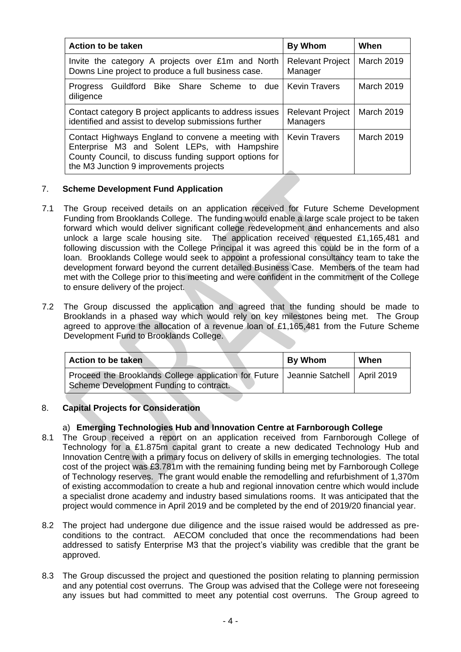| Action to be taken                                                                                                                                                                                       | By Whom                             | When              |
|----------------------------------------------------------------------------------------------------------------------------------------------------------------------------------------------------------|-------------------------------------|-------------------|
| Invite the category A projects over £1m and North<br>Downs Line project to produce a full business case.                                                                                                 | <b>Relevant Project</b><br>Manager  | March 2019        |
| Guildford Bike Share Scheme to due<br><b>Progress</b><br>diligence                                                                                                                                       | <b>Kevin Travers</b>                | March 2019        |
| Contact category B project applicants to address issues<br>identified and assist to develop submissions further                                                                                          | <b>Relevant Project</b><br>Managers | <b>March 2019</b> |
| Contact Highways England to convene a meeting with<br>Enterprise M3 and Solent LEPs, with Hampshire<br>County Council, to discuss funding support options for<br>the M3 Junction 9 improvements projects | <b>Kevin Travers</b>                | March 2019        |

# 7. **Scheme Development Fund Application**

- 7.1 The Group received details on an application received for Future Scheme Development Funding from Brooklands College. The funding would enable a large scale project to be taken forward which would deliver significant college redevelopment and enhancements and also unlock a large scale housing site. The application received requested £1,165,481 and following discussion with the College Principal it was agreed this could be in the form of a loan. Brooklands College would seek to appoint a professional consultancy team to take the development forward beyond the current detailed Business Case. Members of the team had met with the College prior to this meeting and were confident in the commitment of the College to ensure delivery of the project.
- 7.2 The Group discussed the application and agreed that the funding should be made to Brooklands in a phased way which would rely on key milestones being met. The Group agreed to approve the allocation of a revenue loan of £1,165,481 from the Future Scheme Development Fund to Brooklands College.

| Action to be taken                                                                                                               | <b>By Whom</b> | When |
|----------------------------------------------------------------------------------------------------------------------------------|----------------|------|
| Proceed the Brooklands College application for Future   Jeannie Satchell   April 2019<br>Scheme Development Funding to contract. |                |      |

# 8. **Capital Projects for Consideration**

# a) **Emerging Technologies Hub and Innovation Centre at Farnborough College**

- 8.1 The Group received a report on an application received from Farnborough College of Technology for a £1.875m capital grant to create a new dedicated Technology Hub and Innovation Centre with a primary focus on delivery of skills in emerging technologies. The total cost of the project was £3.781m with the remaining funding being met by Farnborough College of Technology reserves. The grant would enable the remodelling and refurbishment of 1,370m of existing accommodation to create a hub and regional innovation centre which would include a specialist drone academy and industry based simulations rooms. It was anticipated that the project would commence in April 2019 and be completed by the end of 2019/20 financial year.
- 8.2 The project had undergone due diligence and the issue raised would be addressed as preconditions to the contract. AECOM concluded that once the recommendations had been addressed to satisfy Enterprise M3 that the project's viability was credible that the grant be approved.
- 8.3 The Group discussed the project and questioned the position relating to planning permission and any potential cost overruns. The Group was advised that the College were not foreseeing any issues but had committed to meet any potential cost overruns. The Group agreed to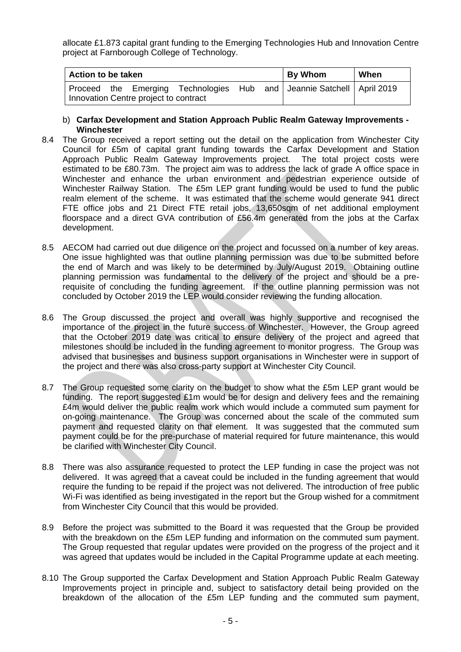allocate £1.873 capital grant funding to the Emerging Technologies Hub and Innovation Centre project at Farnborough College of Technology.

| Action to be taken                                                                                                 | <b>By Whom</b> | When |  |  |
|--------------------------------------------------------------------------------------------------------------------|----------------|------|--|--|
| Proceed the Emerging Technologies Hub and   Jeannie Satchell   April 2019<br>Innovation Centre project to contract |                |      |  |  |

- b) **Carfax Development and Station Approach Public Realm Gateway Improvements - Winchester**
- 8.4 The Group received a report setting out the detail on the application from Winchester City Council for £5m of capital grant funding towards the Carfax Development and Station Approach Public Realm Gateway Improvements project. The total project costs were estimated to be £80.73m. The project aim was to address the lack of grade A office space in Winchester and enhance the urban environment and pedestrian experience outside of Winchester Railway Station. The £5m LEP grant funding would be used to fund the public realm element of the scheme. It was estimated that the scheme would generate 941 direct FTE office jobs and 21 Direct FTE retail jobs, 13,650sqm of net additional employment floorspace and a direct GVA contribution of £56.4m generated from the jobs at the Carfax development.
- 8.5 AECOM had carried out due diligence on the project and focussed on a number of key areas. One issue highlighted was that outline planning permission was due to be submitted before the end of March and was likely to be determined by July/August 2019. Obtaining outline planning permission was fundamental to the delivery of the project and should be a prerequisite of concluding the funding agreement. If the outline planning permission was not concluded by October 2019 the LEP would consider reviewing the funding allocation.
- 8.6 The Group discussed the project and overall was highly supportive and recognised the importance of the project in the future success of Winchester. However, the Group agreed that the October 2019 date was critical to ensure delivery of the project and agreed that milestones should be included in the funding agreement to monitor progress. The Group was advised that businesses and business support organisations in Winchester were in support of the project and there was also cross-party support at Winchester City Council.
- 8.7 The Group requested some clarity on the budget to show what the £5m LEP grant would be funding. The report suggested £1m would be for design and delivery fees and the remaining £4m would deliver the public realm work which would include a commuted sum payment for on-going maintenance. The Group was concerned about the scale of the commuted sum payment and requested clarity on that element. It was suggested that the commuted sum payment could be for the pre-purchase of material required for future maintenance, this would be clarified with Winchester City Council.
- 8.8 There was also assurance requested to protect the LEP funding in case the project was not delivered. It was agreed that a caveat could be included in the funding agreement that would require the funding to be repaid if the project was not delivered. The introduction of free public Wi-Fi was identified as being investigated in the report but the Group wished for a commitment from Winchester City Council that this would be provided.
- 8.9 Before the project was submitted to the Board it was requested that the Group be provided with the breakdown on the £5m LEP funding and information on the commuted sum payment. The Group requested that regular updates were provided on the progress of the project and it was agreed that updates would be included in the Capital Programme update at each meeting.
- 8.10 The Group supported the Carfax Development and Station Approach Public Realm Gateway Improvements project in principle and, subject to satisfactory detail being provided on the breakdown of the allocation of the £5m LEP funding and the commuted sum payment,